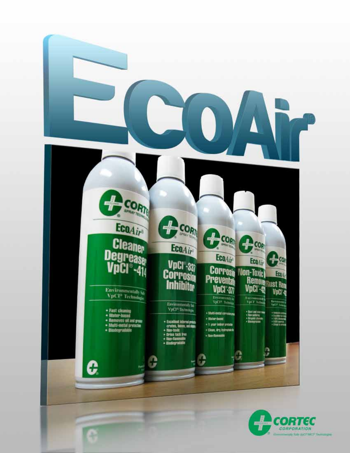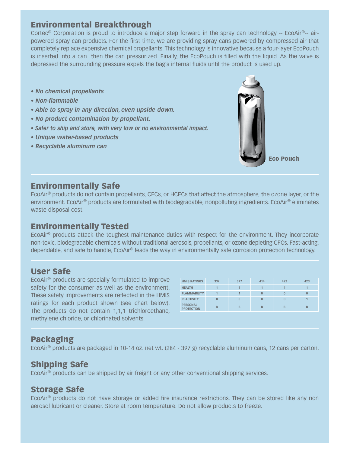## Environmental Breakthrough

Cortec® Corporation is proud to introduce a major step forward in the spray can technology -- EcoAir®-- airpowered spray can products. For the first time, we are providing spray cans powered by compressed air that completely replace expensive chemical propellants. This technology is innovative because a four-layer EcoPouch is inserted into a can then the can pressurized. Finally, the EcoPouch is filled with the liquid. As the valve is depressed the surrounding pressure expels the bag's internal fluids until the product is used up.

- *No chemical propellants*
- *Non-flammable*
- *Able to spray in any direction, even upside down.*
- *No product contamination by propellant.*
- *Safer to ship and store, with very low or no environmental impact.*
- *Unique water-based products*
- *Recyclable aluminum can*



Eco Pouch

## Environmentally Safe

EcoAir® products do not contain propellants, CFCs, or HCFCs that affect the atmosphere, the ozone layer, or the environment. EcoAir® products are formulated with biodegradable, nonpolluting ingredients. EcoAir® eliminates waste disposal cost.

## Environmentally Tested

EcoAir® products attack the toughest maintenance duties with respect for the environment. They incorporate non-toxic, biodegradable chemicals without traditional aerosols, propellants, or ozone depleting CFCs. Fast-acting, dependable, and safe to handle, EcoAir® leads the way in environmentally safe corrosion protection technology.

## User Safe

EcoAir® products are specially formulated to improve safety for the consumer as well as the environment. These safety improvements are reflected in the HMIS ratings for each product shown (see chart below). The products do not contain 1,1,1 trichloroethane, methylene chloride, or chlorinated solvents.

| <b>HMIS RATINGS</b>                  | 337            | 377            | 414 | 422 | 423            |
|--------------------------------------|----------------|----------------|-----|-----|----------------|
| <b>HEALTH</b>                        |                | $\overline{ }$ | 1   |     | $\overline{A}$ |
| <b>FLAMMABILITY</b>                  | $\overline{1}$ | <b>A</b>       |     |     |                |
| <b>REACTIVITY</b>                    | 0              | $\overline{0}$ |     |     |                |
| <b>PERSONAL</b><br><b>PROTECTION</b> | B              | B              | B   | B   | B              |

## Packaging

EcoAir® products are packaged in 10-14 oz. net wt. (284 - 397 g) recyclable aluminum cans, 12 cans per carton.

## Shipping Safe

EcoAir® products can be shipped by air freight or any other conventional shipping services.

## Storage Safe

EcoAir® products do not have storage or added fire insurance restrictions. They can be stored like any non aerosol lubricant or cleaner. Store at room temperature. Do not allow products to freeze.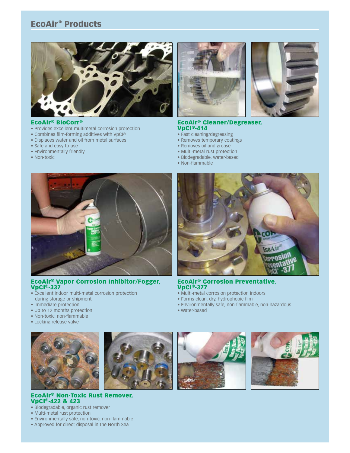## EcoAir<sup>®</sup> Products



#### EcoAir® BioCorr®

- Provides excellent multimetal corrosion protection
- Combines film-forming additives with VpCI®
- Displaces water and oil from metal surfaces
- Safe and easy to use
- Environmentally friendly
- Non-toxic





#### EcoAir® Cleaner/Degreaser, VpCI®-414

- Fast cleaning/degreasing
- Removes temporary coatings
- Removes oil and grease
- Multi-metal rust protection
- Biodegradable, water-based
- Non-flammable



#### EcoAir® Vapor Corrosion Inhibitor/Fogger, VpCI®-337

- Excellent indoor multi-metal corrosion protection during storage or shipment
- Immediate protection
- Up to 12 months protection
- Non-toxic, non-flammable
- Locking release valve





#### EcoAir® Non-Toxic Rust Remover, VpCI®-422 & 423

- Biodegradable, organic rust remover
- Multi-metal rust protection
- Environmentally safe, non-toxic, non-flammable
- Approved for direct disposal in the North Sea



EcoAir® Corrosion Preventative, VpCI®-377

- Multi-metal corrosion protection indoors
- Forms clean, dry, hydrophobic film
- Environmentally safe, non-flammable, non-hazardous
- Water-based